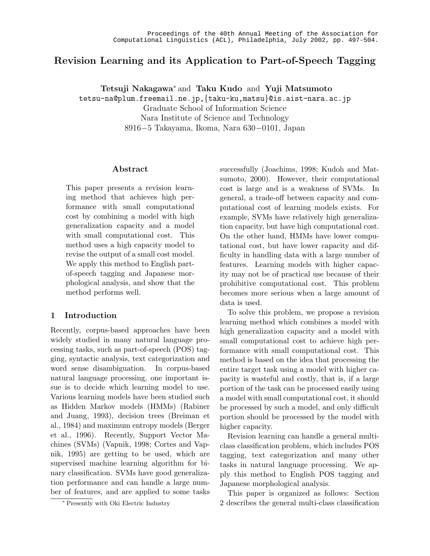# Revision Learning and its Application to Part-of-Speech Tagging

Tetsuji Nakagawa<sup>∗</sup> and Taku Kudo and Yuji Matsumoto

tetsu-na@plum.freemail.ne.jp,{taku-ku,matsu}@is.aist-nara.ac.jp

Graduate School of Information Science

Nara Institute of Science and Technology 8916−5 Takayama, Ikoma, Nara 630−0101, Japan

#### Abstract

This paper presents a revision learning method that achieves high performance with small computational cost by combining a model with high generalization capacity and a model with small computational cost. This method uses a high capacity model to revise the output of a small cost model. We apply this method to English partof-speech tagging and Japanese morphological analysis, and show that the method performs well.

### 1 Introduction

Recently, corpus-based approaches have been widely studied in many natural language processing tasks, such as part-of-speech (POS) tagging, syntactic analysis, text categorization and word sense disambiguation. In corpus-based natural language processing, one important issue is to decide which learning model to use. Various learning models have been studied such as Hidden Markov models (HMMs) (Rabiner and Juang, 1993), decision trees (Breiman et al., 1984) and maximum entropy models (Berger et al., 1996). Recently, Support Vector Machines (SVMs) (Vapnik, 1998; Cortes and Vapnik, 1995) are getting to be used, which are supervised machine learning algorithm for binary classification. SVMs have good generalization performance and can handle a large number of features, and are applied to some tasks successfully (Joachims, 1998; Kudoh and Matsumoto, 2000). However, their computational cost is large and is a weakness of SVMs. In general, a trade-off between capacity and computational cost of learning models exists. For example, SVMs have relatively high generalization capacity, but have high computational cost. On the other hand, HMMs have lower computational cost, but have lower capacity and difficulty in handling data with a large number of features. Learning models with higher capacity may not be of practical use because of their prohibitive computational cost. This problem becomes more serious when a large amount of data is used.

To solve this problem, we propose a revision learning method which combines a model with high generalization capacity and a model with small computational cost to achieve high performance with small computational cost. This method is based on the idea that processing the entire target task using a model with higher capacity is wasteful and costly, that is, if a large portion of the task can be processed easily using a model with small computational cost, it should be processed by such a model, and only difficult portion should be processed by the model with higher capacity.

Revision learning can handle a general multiclass classification problem, which includes POS tagging, text categorization and many other tasks in natural language processing. We apply this method to English POS tagging and Japanese morphological analysis.

This paper is organized as follows: Section 2 describes the general multi-class classification

<sup>∗</sup> Presently with Oki Electric Industry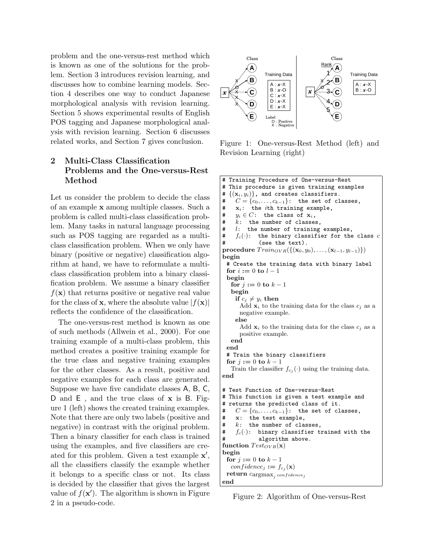problem and the one-versus-rest method which is known as one of the solutions for the problem. Section 3 introduces revision learning, and discusses how to combine learning models. Section 4 describes one way to conduct Japanese morphological analysis with revision learning. Section 5 shows experimental results of English POS tagging and Japanese morphological analysis with revision learning. Section 6 discusses related works, and Section 7 gives conclusion.

## 2 Multi-Class Classification Problems and the One-versus-Rest Method

Let us consider the problem to decide the class of an example x among multiple classes. Such a problem is called multi-class classification problem. Many tasks in natural language processing such as POS tagging are regarded as a multiclass classification problem. When we only have binary (positive or negative) classification algorithm at hand, we have to reformulate a multiclass classification problem into a binary classification problem. We assume a binary classifier  $f(\mathbf{x})$  that returns positive or negative real value for the class of **x**, where the absolute value  $|f(\mathbf{x})|$ reflects the confidence of the classification.

The one-versus-rest method is known as one of such methods (Allwein et al., 2000). For one training example of a multi-class problem, this method creates a positive training example for the true class and negative training examples for the other classes. As a result, positive and negative examples for each class are generated. Suppose we have five candidate classes A, B, C, D and E, and the true class of **x** is B. Figure 1 (left) shows the created training examples. Note that there are only two labels (positive and negative) in contrast with the original problem. Then a binary classifier for each class is trained using the examples, and five classifiers are created for this problem. Given a test example  $x'$ , all the classifiers classify the example whether it belongs to a specific class or not. Its class is decided by the classifier that gives the largest value of  $f(\mathbf{x}')$ . The algorithm is shown in Figure 2 in a pseudo-code.



Figure 1: One-versus-Rest Method (left) and Revision Learning (right)

```
# Training Procedure of One-versus-Rest
# This procedure is given training examples
# \{(x_i, y_i)\}\), and creates classifiers.
    C = \{c_0, \ldots, c_{k-1}\}\colon the set of classes,
# x_i: the ith training example,
# y_i \in C: the class of \mathbf{x}_i,
# k: the number of classes,
# l: the number of training examples,
# f_c(\cdot): the binary classifier for the class c# (see the text).
procedure Train_{OVR}(\{(\mathbf{x}_0, y_0), \ldots, (\mathbf{x}_{l-1}, y_{l-1})\})begin
 # Create the training data with binary label
 for i := 0 to l - 1begin
   for j := 0 to k - 1begin
    if c_i \neq y_i then
      Add \mathbf{x}_i to the training data for the class c_i as a
      negative example.
    else
      Add \mathbf{x}_i to the training data for the class c_j as a
      positive example.
   end
 end
 # Train the binary classifiers
 for j := 0 to k - 1Train the classifier f_{c_j}(\cdot) using the training data.
end
# Test Function of One-versus-Rest
# This function is given a test example and
# returns the predicted class of it.
# C = \{c_0, \ldots, c_{k-1}\}\;: the set of classes,
# x: the test example,
# k: the number of classes,
    f_c(\cdot): binary classifier trained with the
# algorithm above.
function Test_{OVR}(\mathbf{x})begin
 for j := 0 to k - 1confidence_j := f_{c_j}(\mathbf{x})\textbf{return} \; c\text{argmax}_j \; \overline{confidence}_jend
```
Figure 2: Algorithm of One-versus-Rest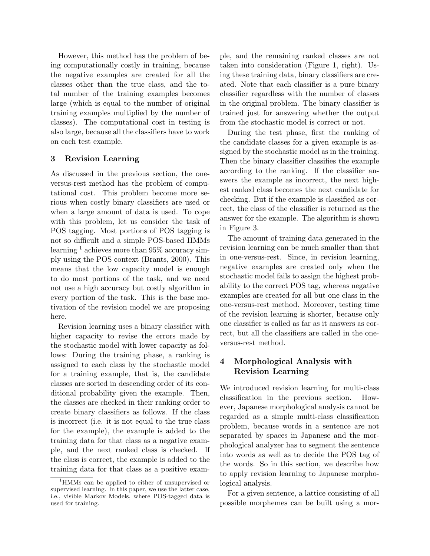However, this method has the problem of being computationally costly in training, because the negative examples are created for all the classes other than the true class, and the total number of the training examples becomes large (which is equal to the number of original training examples multiplied by the number of classes). The computational cost in testing is also large, because all the classifiers have to work on each test example.

#### 3 Revision Learning

As discussed in the previous section, the oneversus-rest method has the problem of computational cost. This problem become more serious when costly binary classifiers are used or when a large amount of data is used. To cope with this problem, let us consider the task of POS tagging. Most portions of POS tagging is not so difficult and a simple POS-based HMMs learning  $<sup>1</sup>$  achieves more than 95% accuracy sim-</sup> ply using the POS context (Brants, 2000). This means that the low capacity model is enough to do most portions of the task, and we need not use a high accuracy but costly algorithm in every portion of the task. This is the base motivation of the revision model we are proposing here.

Revision learning uses a binary classifier with higher capacity to revise the errors made by the stochastic model with lower capacity as follows: During the training phase, a ranking is assigned to each class by the stochastic model for a training example, that is, the candidate classes are sorted in descending order of its conditional probability given the example. Then, the classes are checked in their ranking order to create binary classifiers as follows. If the class is incorrect (i.e. it is not equal to the true class for the example), the example is added to the training data for that class as a negative example, and the next ranked class is checked. If the class is correct, the example is added to the training data for that class as a positive example, and the remaining ranked classes are not taken into consideration (Figure 1, right). Using these training data, binary classifiers are created. Note that each classifier is a pure binary classifier regardless with the number of classes in the original problem. The binary classifier is trained just for answering whether the output from the stochastic model is correct or not.

During the test phase, first the ranking of the candidate classes for a given example is assigned by the stochastic model as in the training. Then the binary classifier classifies the example according to the ranking. If the classifier answers the example as incorrect, the next highest ranked class becomes the next candidate for checking. But if the example is classified as correct, the class of the classifier is returned as the answer for the example. The algorithm is shown in Figure 3.

The amount of training data generated in the revision learning can be much smaller than that in one-versus-rest. Since, in revision learning, negative examples are created only when the stochastic model fails to assign the highest probability to the correct POS tag, whereas negative examples are created for all but one class in the one-versus-rest method. Moreover, testing time of the revision learning is shorter, because only one classifier is called as far as it answers as correct, but all the classifiers are called in the oneversus-rest method.

# 4 Morphological Analysis with Revision Learning

We introduced revision learning for multi-class classification in the previous section. However, Japanese morphological analysis cannot be regarded as a simple multi-class classification problem, because words in a sentence are not separated by spaces in Japanese and the morphological analyzer has to segment the sentence into words as well as to decide the POS tag of the words. So in this section, we describe how to apply revision learning to Japanese morphological analysis.

For a given sentence, a lattice consisting of all possible morphemes can be built using a mor-

<sup>1</sup>HMMs can be applied to either of unsupervised or supervised learning. In this paper, we use the latter case, i.e., visible Markov Models, where POS-tagged data is used for training.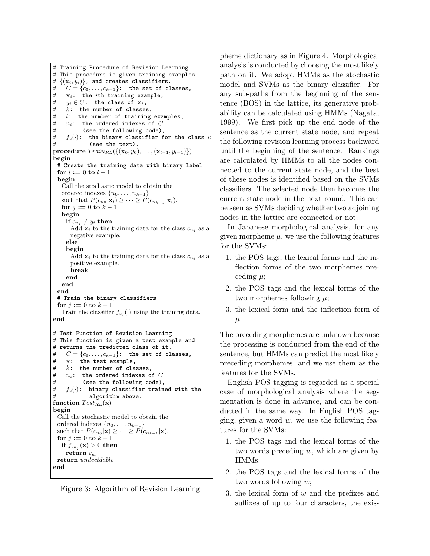```
# Training Procedure of Revision Learning
# This procedure is given training examples
# \{(\mathbf{x}_i, y_i)\}\), and creates classifiers.
# C = \{c_0, \ldots, c_{k-1}\}\: the set of classes,
# \quad x_i: the ith training example,
# y_i \in C: the class of x_i,
# k: the number of classes,
# l: the number of training examples,
# n_i: the ordered indexes of C# (see the following code),
# f_c(\cdot): the binary classifier for the class c(see the text).
procedure Train_{RL}(\{(\mathbf{x}_0, y_0), \ldots, (\mathbf{x}_{l-1}, y_{l-1})\})begin
 # Create the training data with binary label
 for i := 0 to l - 1begin
   Call the stochastic model to obtain the
   ordered indexes \{n_0, \ldots, n_{k-1}\}\such that P(c_{n_0}|\mathbf{x}_i) \geq \cdots \geq P(c_{n_{k-1}}|\mathbf{x}_i).
   for j := 0 to k - 1begin
    if c_{n_i} \neq y_i then
      Add \mathbf{x}_i to the training data for the class c_{n_i} as a
      negative example.
     else
     begin
      Add \mathbf{x}_i to the training data for the class c_{n_i} as a
      positive example.
      break
    end
   end
 end
 # Train the binary classifiers
 for j := 0 to k - 1Train the classifier f_{c_j}(\cdot) using the training data.
end
# Test Function of Revision Learning
# This function is given a test example and
# returns the predicted class of it.
    C = \{c_0, \ldots, c_{k-1}\}\colon the set of classes,
# x: the test example,
# k: the number of classes,<br># n_i: the ordered indexes o
    n_i: the ordered indexes of C# (see the following code),
# f_c(\cdot): binary classifier trained with the
# algorithm above.
function Test_{RL}(\mathbf{x})begin
 Call the stochastic model to obtain the
 ordered indexes \{n_0, \ldots, n_{k-1}\}\such that P(c_{n_0}|\mathbf{x}) \geq \cdots \geq P(c_{n_{k-1}}|\mathbf{x}).for j := 0 to k - 1if f_{c_{n_j}}(\mathbf{x}) > 0 then
    return c_{n_j}return undecidable
end
```
Figure 3: Algorithm of Revision Learning

pheme dictionary as in Figure 4. Morphological analysis is conducted by choosing the most likely path on it. We adopt HMMs as the stochastic model and SVMs as the binary classifier. For any sub-paths from the beginning of the sentence (BOS) in the lattice, its generative probability can be calculated using HMMs (Nagata, 1999). We first pick up the end node of the sentence as the current state node, and repeat the following revision learning process backward until the beginning of the sentence. Rankings are calculated by HMMs to all the nodes connected to the current state node, and the best of these nodes is identified based on the SVMs classifiers. The selected node then becomes the current state node in the next round. This can be seen as SVMs deciding whether two adjoining nodes in the lattice are connected or not.

In Japanese morphological analysis, for any given morpheme  $\mu$ , we use the following features for the SVMs:

- 1. the POS tags, the lexical forms and the inflection forms of the two morphemes preceding  $\mu$ ;
- 2. the POS tags and the lexical forms of the two morphemes following  $\mu$ ;
- 3. the lexical form and the inflection form of  $\mu$ .

The preceding morphemes are unknown because the processing is conducted from the end of the sentence, but HMMs can predict the most likely preceding morphemes, and we use them as the features for the SVMs.

English POS tagging is regarded as a special case of morphological analysis where the segmentation is done in advance, and can be conducted in the same way. In English POS tagging, given a word  $w$ , we use the following features for the SVMs:

- 1. the POS tags and the lexical forms of the two words preceding  $w$ , which are given by HMMs;
- 2. the POS tags and the lexical forms of the two words following w;
- 3. the lexical form of  $w$  and the prefixes and suffixes of up to four characters, the exis-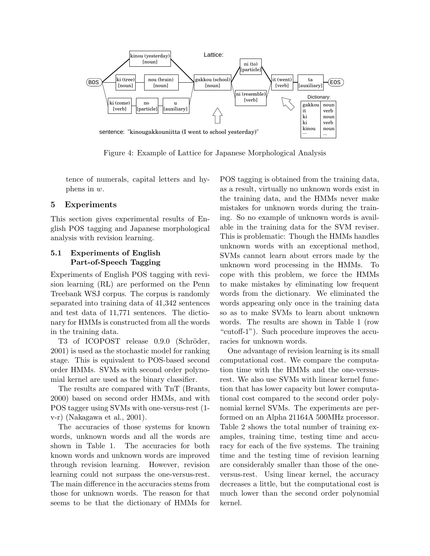

Figure 4: Example of Lattice for Japanese Morphological Analysis

tence of numerals, capital letters and hyphens in w.

#### 5 Experiments

This section gives experimental results of English POS tagging and Japanese morphological analysis with revision learning.

### 5.1 Experiments of English Part-of-Speech Tagging

Experiments of English POS tagging with revision learning (RL) are performed on the Penn Treebank WSJ corpus. The corpus is randomly separated into training data of 41,342 sentences and test data of 11,771 sentences. The dictionary for HMMs is constructed from all the words in the training data.

T3 of ICOPOST release 0.9.0 (Schröder, 2001) is used as the stochastic model for ranking stage. This is equivalent to POS-based second order HMMs. SVMs with second order polynomial kernel are used as the binary classifier.

The results are compared with TnT (Brants, 2000) based on second order HMMs, and with POS tagger using SVMs with one-versus-rest (1 v-r) (Nakagawa et al., 2001).

The accuracies of those systems for known words, unknown words and all the words are shown in Table 1. The accuracies for both known words and unknown words are improved through revision learning. However, revision learning could not surpass the one-versus-rest. The main difference in the accuracies stems from those for unknown words. The reason for that seems to be that the dictionary of HMMs for

POS tagging is obtained from the training data, as a result, virtually no unknown words exist in the training data, and the HMMs never make mistakes for unknown words during the training. So no example of unknown words is available in the training data for the SVM reviser. This is problematic: Though the HMMs handles unknown words with an exceptional method, SVMs cannot learn about errors made by the unknown word processing in the HMMs. To cope with this problem, we force the HMMs to make mistakes by eliminating low frequent words from the dictionary. We eliminated the words appearing only once in the training data so as to make SVMs to learn about unknown words. The results are shown in Table 1 (row "cutoff-1"). Such procedure improves the accuracies for unknown words.

One advantage of revision learning is its small computational cost. We compare the computation time with the HMMs and the one-versusrest. We also use SVMs with linear kernel function that has lower capacity but lower computational cost compared to the second order polynomial kernel SVMs. The experiments are performed on an Alpha 21164A 500MHz processor. Table 2 shows the total number of training examples, training time, testing time and accuracy for each of the five systems. The training time and the testing time of revision learning are considerably smaller than those of the oneversus-rest. Using linear kernel, the accuracy decreases a little, but the computational cost is much lower than the second order polynomial kernel.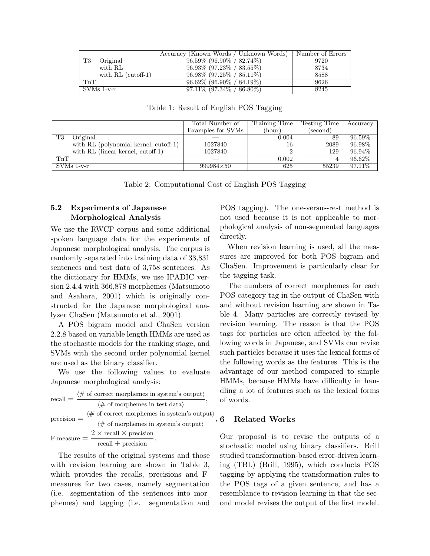|                      | Accuracy (Known Words / Unknown Words) | Number of Errors |
|----------------------|----------------------------------------|------------------|
| T3<br>Original       | $96.59\%$ (96.90\% / 82.74\%)          | 9720             |
| with RL              | $96.93\%$ $(97.23\%$ / $83.55\%)$      | 8734             |
| with $RL$ (cutoff-1) | $96.98\%$ $(97.25\% / 85.11\%)$        | 8588             |
| TnT                  | $96.62\%$ (96.90\% / 84.19\%)          | 9626             |
| SVMs 1-v-r           | $97.11\%$ (97.34\% / 86.80\%)          | 8245             |

Total Number of Training Time Testing Time Accuracy Examples for SVMs (hour) (second) T3 Original  $-$  0.004 89 96.59% with RL (polynomial kernel, cutoff-1)  $\vert$  1027840  $\vert$  16 2089 96.98% with RL (linear kernel, cutoff-1)  $1027840$  2 129 96.94%  $\begin{array}{|c|c|c|c|c|c|}\n\hline\n\text{Tr}\text{T} & \text{~~} & \text{~~} & \text{~~} & \text{~~} & \text{~~} & \text{~~} & \text{~~} & \text{~~} & \text{~~} & \text{~~} & \text{~~} & \text{~~} & \text{~~} & \text{~~} & \text{~~} & \text{~~} & \text{~~} & \text{~~} & \text{~~} & \text{~~} & \text{~~} & \text{~~} & \text{~~} & \text{~~} & \text{~~} & \text{~~} & \text{~~} & \text{~~} & \text{~~} & \text{~~} & \text{~~} & \$ SVMs 1-v-r 999984×50 625 55239 97.11%

Table 1: Result of English POS Tagging

Table 2: Computational Cost of English POS Tagging

## 5.2 Experiments of Japanese Morphological Analysis

We use the RWCP corpus and some additional spoken language data for the experiments of Japanese morphological analysis. The corpus is randomly separated into training data of 33,831 sentences and test data of 3,758 sentences. As the dictionary for HMMs, we use IPADIC version 2.4.4 with 366,878 morphemes (Matsumoto and Asahara, 2001) which is originally constructed for the Japanese morphological analyzer ChaSen (Matsumoto et al., 2001).

A POS bigram model and ChaSen version 2.2.8 based on variable length HMMs are used as the stochastic models for the ranking stage, and SVMs with the second order polynomial kernel are used as the binary classifier.

We use the following values to evaluate Japanese morphological analysis:

recall = 
$$
\frac{\langle \# \text{ of correct morphemes in system's output} \rangle}{\langle \# \text{ of morphemes in test data} \rangle}
$$
,  
precision =  $\frac{\langle \# \text{ of correct morphemes in system's output} \rangle}{\langle \# \text{ of morphemes in system's output} \rangle}$   
F-measure =  $\frac{2 \times \text{recall} \times \text{precision}}{\text{recall} + \text{precision}}$ .

The results of the original systems and those with revision learning are shown in Table 3, which provides the recalls, precisions and Fmeasures for two cases, namely segmentation (i.e. segmentation of the sentences into morphemes) and tagging (i.e. segmentation and

POS tagging). The one-versus-rest method is not used because it is not applicable to morphological analysis of non-segmented languages directly.

When revision learning is used, all the measures are improved for both POS bigram and ChaSen. Improvement is particularly clear for the tagging task.

The numbers of correct morphemes for each POS category tag in the output of ChaSen with and without revision learning are shown in Table 4. Many particles are correctly revised by revision learning. The reason is that the POS tags for particles are often affected by the following words in Japanese, and SVMs can revise such particles because it uses the lexical forms of the following words as the features. This is the advantage of our method compared to simple HMMs, because HMMs have difficulty in handling a lot of features such as the lexical forms of words.

#### $-$ , 6 Related Works

Our proposal is to revise the outputs of a stochastic model using binary classifiers. Brill studied transformation-based error-driven learning (TBL) (Brill, 1995), which conducts POS tagging by applying the transformation rules to the POS tags of a given sentence, and has a resemblance to revision learning in that the second model revises the output of the first model.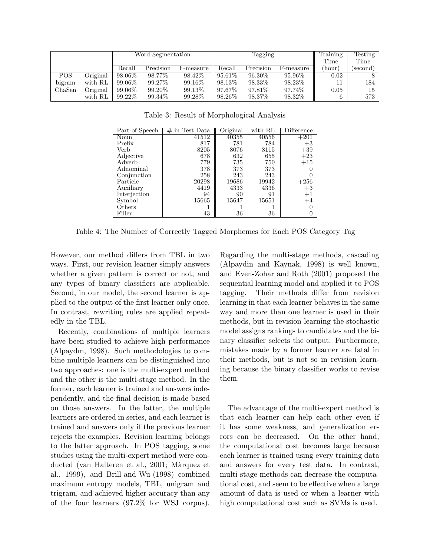|        |          | Word Segmentation |           |             | Tagging              |           |           | Training | Testing  |
|--------|----------|-------------------|-----------|-------------|----------------------|-----------|-----------|----------|----------|
|        |          |                   |           |             |                      |           |           | Time     | Time     |
|        |          | Recall            | Precision | †-measure ≀ | Recall               | Precision | √-measure | (hour)   | (second) |
| POS    | Original | 98.06\%           | 98.77\%   | 98.42\%     | $95.\overline{61\%}$ | 96.30\%   | $95.96\%$ | 0.02     |          |
| bigram | with RL  | 99.06\%           | 99.27\%   | $99.16\%$   | 98.13\%              | 98.33%    | 98.23%    | 11       | 184      |
| ChaSen | Original | 99.06\%           | 99.20\%   | 99.13\%     | $97.67\%$            | 97.81\%   | 97.74\%   | 0.05     | 15       |
|        | with RL  | 99.22%            | 99.34\%   | 99.28%      | 98.26%               | 98.37%    | $98.32\%$ | 6        | 573      |

Table 3: Result of Morphological Analysis

| Part-of-Speech | $#$ in Test Data | Original | with RL | Difference |
|----------------|------------------|----------|---------|------------|
| Noun           | 41512            | 40355    | 40556   | $+201$     |
| Prefix         | 817              | 781      | 784     | $+3$       |
| Verb           | 8205             | 8076     | 8115    | $+39$      |
| Adjective      | 678              | 632      | 655     | $+23$      |
| Adverb         | 779              | 735      | 750     | $+15$      |
| Adnominal      | 378              | 373      | 373     |            |
| Conjunction    | 258              | 243      | 243     |            |
| Particle       | 20298            | 19686    | 19942   | $+256$     |
| Auxiliary      | 4419             | 4333     | 4336    | $+3$       |
| Interjection   | 94               | 90       | 91      | $+1$       |
| Symbol         | 15665            | 15647    | 15651   | $+4$       |
| Others         |                  |          |         |            |
| Filler         | 43               | 36       | 36      |            |

Table 4: The Number of Correctly Tagged Morphemes for Each POS Category Tag

However, our method differs from TBL in two ways. First, our revision learner simply answers whether a given pattern is correct or not, and any types of binary classifiers are applicable. Second, in our model, the second learner is applied to the output of the first learner only once. In contrast, rewriting rules are applied repeatedly in the TBL.

Recently, combinations of multiple learners have been studied to achieve high performance (Alpaydm, 1998). Such methodologies to combine multiple learners can be distinguished into two approaches: one is the multi-expert method and the other is the multi-stage method. In the former, each learner is trained and answers independently, and the final decision is made based on those answers. In the latter, the multiple learners are ordered in series, and each learner is trained and answers only if the previous learner rejects the examples. Revision learning belongs to the latter approach. In POS tagging, some studies using the multi-expert method were conducted (van Halteren et al., 2001; Màrquez et al., 1999), and Brill and Wu (1998) combined maximum entropy models, TBL, unigram and trigram, and achieved higher accuracy than any of the four learners (97.2% for WSJ corpus).

Regarding the multi-stage methods, cascading (Alpaydin and Kaynak, 1998) is well known, and Even-Zohar and Roth (2001) proposed the sequential learning model and applied it to POS tagging. Their methods differ from revision learning in that each learner behaves in the same way and more than one learner is used in their methods, but in revision learning the stochastic model assigns rankings to candidates and the binary classifier selects the output. Furthermore, mistakes made by a former learner are fatal in their methods, but is not so in revision learning because the binary classifier works to revise them.

The advantage of the multi-expert method is that each learner can help each other even if it has some weakness, and generalization errors can be decreased. On the other hand, the computational cost becomes large because each learner is trained using every training data and answers for every test data. In contrast, multi-stage methods can decrease the computational cost, and seem to be effective when a large amount of data is used or when a learner with high computational cost such as SVMs is used.